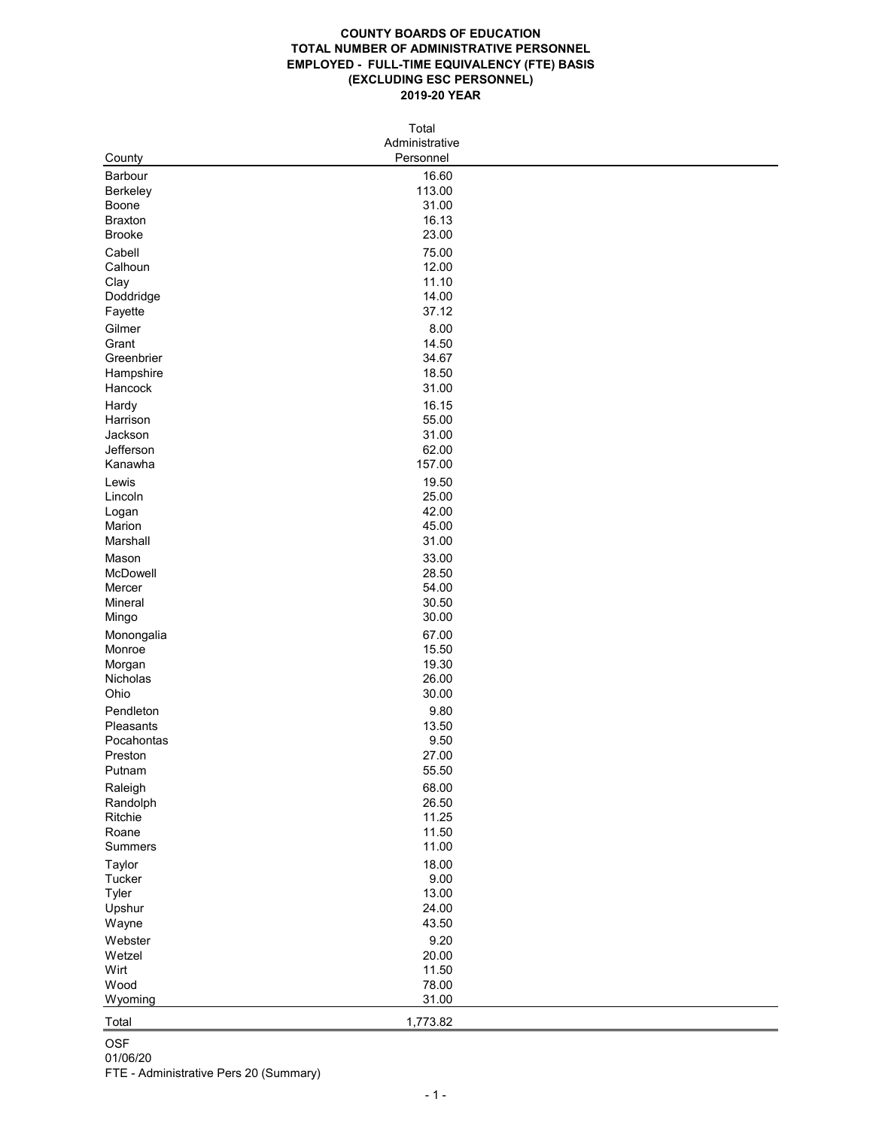## **COUNTY BOARDS OF EDUCATION TOTAL NUMBER OF ADMINISTRATIVE PERSONNEL EMPLOYED - FULL-TIME EQUIVALENCY (FTE) BASIS (EXCLUDING ESC PERSONNEL) 2019-20 YEAR**

| Personnel<br>County<br>16.60<br><b>Barbour</b><br>113.00<br><b>Berkeley</b><br>31.00<br><b>Boone</b><br>16.13<br><b>Braxton</b><br>23.00<br><b>Brooke</b><br>Cabell<br>75.00<br>Calhoun<br>12.00<br>11.10<br>Clay<br>14.00<br>Doddridge<br>37.12<br>Fayette<br>8.00<br>Gilmer<br>14.50<br>Grant<br>34.67<br>Greenbrier<br>Hampshire<br>18.50<br>31.00<br>Hancock<br>16.15<br>Hardy<br>55.00<br>Harrison<br>31.00<br>Jackson<br>62.00<br>Jefferson<br>157.00<br>Kanawha<br>19.50<br>Lewis<br>25.00<br>Lincoln<br>42.00<br>Logan<br>45.00<br>Marion<br>31.00<br>Marshall<br>33.00<br>Mason<br>28.50<br>McDowell<br>54.00<br>Mercer<br>30.50<br>Mineral<br>30.00<br>Mingo<br>67.00<br>Monongalia<br>15.50<br>Monroe<br>19.30<br>Morgan<br>26.00<br>Nicholas<br>Ohio<br>30.00<br>9.80<br>Pendleton<br>13.50<br>Pleasants<br>9.50<br>Pocahontas<br>27.00<br>Preston<br>55.50<br>Putnam<br>68.00<br>Raleigh<br>26.50<br>Randolph<br>11.25<br>Ritchie<br>11.50<br>Roane<br>11.00<br><b>Summers</b><br>18.00<br><b>Taylor</b><br>9.00<br>Tucker<br>13.00<br><b>Tyler</b><br>24.00<br>Upshur<br>43.50<br>Wayne<br>9.20<br>Webster<br>20.00<br>Wetzel<br>11.50<br>Wirt<br>78.00<br>Wood<br>31.00<br>Wyoming<br>1,773.82<br>Total<br><b>OSF</b><br>01/06/20<br>FTE - Administrative Pers 20 (Summary) | Total |                |  |  |  |
|--------------------------------------------------------------------------------------------------------------------------------------------------------------------------------------------------------------------------------------------------------------------------------------------------------------------------------------------------------------------------------------------------------------------------------------------------------------------------------------------------------------------------------------------------------------------------------------------------------------------------------------------------------------------------------------------------------------------------------------------------------------------------------------------------------------------------------------------------------------------------------------------------------------------------------------------------------------------------------------------------------------------------------------------------------------------------------------------------------------------------------------------------------------------------------------------------------------------------------------------------------------------------------------------|-------|----------------|--|--|--|
|                                                                                                                                                                                                                                                                                                                                                                                                                                                                                                                                                                                                                                                                                                                                                                                                                                                                                                                                                                                                                                                                                                                                                                                                                                                                                            |       | Administrative |  |  |  |
|                                                                                                                                                                                                                                                                                                                                                                                                                                                                                                                                                                                                                                                                                                                                                                                                                                                                                                                                                                                                                                                                                                                                                                                                                                                                                            |       |                |  |  |  |
|                                                                                                                                                                                                                                                                                                                                                                                                                                                                                                                                                                                                                                                                                                                                                                                                                                                                                                                                                                                                                                                                                                                                                                                                                                                                                            |       |                |  |  |  |
|                                                                                                                                                                                                                                                                                                                                                                                                                                                                                                                                                                                                                                                                                                                                                                                                                                                                                                                                                                                                                                                                                                                                                                                                                                                                                            |       |                |  |  |  |
|                                                                                                                                                                                                                                                                                                                                                                                                                                                                                                                                                                                                                                                                                                                                                                                                                                                                                                                                                                                                                                                                                                                                                                                                                                                                                            |       |                |  |  |  |
|                                                                                                                                                                                                                                                                                                                                                                                                                                                                                                                                                                                                                                                                                                                                                                                                                                                                                                                                                                                                                                                                                                                                                                                                                                                                                            |       |                |  |  |  |
|                                                                                                                                                                                                                                                                                                                                                                                                                                                                                                                                                                                                                                                                                                                                                                                                                                                                                                                                                                                                                                                                                                                                                                                                                                                                                            |       |                |  |  |  |
|                                                                                                                                                                                                                                                                                                                                                                                                                                                                                                                                                                                                                                                                                                                                                                                                                                                                                                                                                                                                                                                                                                                                                                                                                                                                                            |       |                |  |  |  |
|                                                                                                                                                                                                                                                                                                                                                                                                                                                                                                                                                                                                                                                                                                                                                                                                                                                                                                                                                                                                                                                                                                                                                                                                                                                                                            |       |                |  |  |  |
|                                                                                                                                                                                                                                                                                                                                                                                                                                                                                                                                                                                                                                                                                                                                                                                                                                                                                                                                                                                                                                                                                                                                                                                                                                                                                            |       |                |  |  |  |
|                                                                                                                                                                                                                                                                                                                                                                                                                                                                                                                                                                                                                                                                                                                                                                                                                                                                                                                                                                                                                                                                                                                                                                                                                                                                                            |       |                |  |  |  |
|                                                                                                                                                                                                                                                                                                                                                                                                                                                                                                                                                                                                                                                                                                                                                                                                                                                                                                                                                                                                                                                                                                                                                                                                                                                                                            |       |                |  |  |  |
|                                                                                                                                                                                                                                                                                                                                                                                                                                                                                                                                                                                                                                                                                                                                                                                                                                                                                                                                                                                                                                                                                                                                                                                                                                                                                            |       |                |  |  |  |
|                                                                                                                                                                                                                                                                                                                                                                                                                                                                                                                                                                                                                                                                                                                                                                                                                                                                                                                                                                                                                                                                                                                                                                                                                                                                                            |       |                |  |  |  |
|                                                                                                                                                                                                                                                                                                                                                                                                                                                                                                                                                                                                                                                                                                                                                                                                                                                                                                                                                                                                                                                                                                                                                                                                                                                                                            |       |                |  |  |  |
|                                                                                                                                                                                                                                                                                                                                                                                                                                                                                                                                                                                                                                                                                                                                                                                                                                                                                                                                                                                                                                                                                                                                                                                                                                                                                            |       |                |  |  |  |
|                                                                                                                                                                                                                                                                                                                                                                                                                                                                                                                                                                                                                                                                                                                                                                                                                                                                                                                                                                                                                                                                                                                                                                                                                                                                                            |       |                |  |  |  |
|                                                                                                                                                                                                                                                                                                                                                                                                                                                                                                                                                                                                                                                                                                                                                                                                                                                                                                                                                                                                                                                                                                                                                                                                                                                                                            |       |                |  |  |  |
|                                                                                                                                                                                                                                                                                                                                                                                                                                                                                                                                                                                                                                                                                                                                                                                                                                                                                                                                                                                                                                                                                                                                                                                                                                                                                            |       |                |  |  |  |
|                                                                                                                                                                                                                                                                                                                                                                                                                                                                                                                                                                                                                                                                                                                                                                                                                                                                                                                                                                                                                                                                                                                                                                                                                                                                                            |       |                |  |  |  |
|                                                                                                                                                                                                                                                                                                                                                                                                                                                                                                                                                                                                                                                                                                                                                                                                                                                                                                                                                                                                                                                                                                                                                                                                                                                                                            |       |                |  |  |  |
|                                                                                                                                                                                                                                                                                                                                                                                                                                                                                                                                                                                                                                                                                                                                                                                                                                                                                                                                                                                                                                                                                                                                                                                                                                                                                            |       |                |  |  |  |
|                                                                                                                                                                                                                                                                                                                                                                                                                                                                                                                                                                                                                                                                                                                                                                                                                                                                                                                                                                                                                                                                                                                                                                                                                                                                                            |       |                |  |  |  |
|                                                                                                                                                                                                                                                                                                                                                                                                                                                                                                                                                                                                                                                                                                                                                                                                                                                                                                                                                                                                                                                                                                                                                                                                                                                                                            |       |                |  |  |  |
|                                                                                                                                                                                                                                                                                                                                                                                                                                                                                                                                                                                                                                                                                                                                                                                                                                                                                                                                                                                                                                                                                                                                                                                                                                                                                            |       |                |  |  |  |
|                                                                                                                                                                                                                                                                                                                                                                                                                                                                                                                                                                                                                                                                                                                                                                                                                                                                                                                                                                                                                                                                                                                                                                                                                                                                                            |       |                |  |  |  |
|                                                                                                                                                                                                                                                                                                                                                                                                                                                                                                                                                                                                                                                                                                                                                                                                                                                                                                                                                                                                                                                                                                                                                                                                                                                                                            |       |                |  |  |  |
|                                                                                                                                                                                                                                                                                                                                                                                                                                                                                                                                                                                                                                                                                                                                                                                                                                                                                                                                                                                                                                                                                                                                                                                                                                                                                            |       |                |  |  |  |
|                                                                                                                                                                                                                                                                                                                                                                                                                                                                                                                                                                                                                                                                                                                                                                                                                                                                                                                                                                                                                                                                                                                                                                                                                                                                                            |       |                |  |  |  |
|                                                                                                                                                                                                                                                                                                                                                                                                                                                                                                                                                                                                                                                                                                                                                                                                                                                                                                                                                                                                                                                                                                                                                                                                                                                                                            |       |                |  |  |  |
|                                                                                                                                                                                                                                                                                                                                                                                                                                                                                                                                                                                                                                                                                                                                                                                                                                                                                                                                                                                                                                                                                                                                                                                                                                                                                            |       |                |  |  |  |
|                                                                                                                                                                                                                                                                                                                                                                                                                                                                                                                                                                                                                                                                                                                                                                                                                                                                                                                                                                                                                                                                                                                                                                                                                                                                                            |       |                |  |  |  |
|                                                                                                                                                                                                                                                                                                                                                                                                                                                                                                                                                                                                                                                                                                                                                                                                                                                                                                                                                                                                                                                                                                                                                                                                                                                                                            |       |                |  |  |  |
|                                                                                                                                                                                                                                                                                                                                                                                                                                                                                                                                                                                                                                                                                                                                                                                                                                                                                                                                                                                                                                                                                                                                                                                                                                                                                            |       |                |  |  |  |
|                                                                                                                                                                                                                                                                                                                                                                                                                                                                                                                                                                                                                                                                                                                                                                                                                                                                                                                                                                                                                                                                                                                                                                                                                                                                                            |       |                |  |  |  |
|                                                                                                                                                                                                                                                                                                                                                                                                                                                                                                                                                                                                                                                                                                                                                                                                                                                                                                                                                                                                                                                                                                                                                                                                                                                                                            |       |                |  |  |  |
|                                                                                                                                                                                                                                                                                                                                                                                                                                                                                                                                                                                                                                                                                                                                                                                                                                                                                                                                                                                                                                                                                                                                                                                                                                                                                            |       |                |  |  |  |
|                                                                                                                                                                                                                                                                                                                                                                                                                                                                                                                                                                                                                                                                                                                                                                                                                                                                                                                                                                                                                                                                                                                                                                                                                                                                                            |       |                |  |  |  |
|                                                                                                                                                                                                                                                                                                                                                                                                                                                                                                                                                                                                                                                                                                                                                                                                                                                                                                                                                                                                                                                                                                                                                                                                                                                                                            |       |                |  |  |  |
|                                                                                                                                                                                                                                                                                                                                                                                                                                                                                                                                                                                                                                                                                                                                                                                                                                                                                                                                                                                                                                                                                                                                                                                                                                                                                            |       |                |  |  |  |
|                                                                                                                                                                                                                                                                                                                                                                                                                                                                                                                                                                                                                                                                                                                                                                                                                                                                                                                                                                                                                                                                                                                                                                                                                                                                                            |       |                |  |  |  |
|                                                                                                                                                                                                                                                                                                                                                                                                                                                                                                                                                                                                                                                                                                                                                                                                                                                                                                                                                                                                                                                                                                                                                                                                                                                                                            |       |                |  |  |  |
|                                                                                                                                                                                                                                                                                                                                                                                                                                                                                                                                                                                                                                                                                                                                                                                                                                                                                                                                                                                                                                                                                                                                                                                                                                                                                            |       |                |  |  |  |
|                                                                                                                                                                                                                                                                                                                                                                                                                                                                                                                                                                                                                                                                                                                                                                                                                                                                                                                                                                                                                                                                                                                                                                                                                                                                                            |       |                |  |  |  |
|                                                                                                                                                                                                                                                                                                                                                                                                                                                                                                                                                                                                                                                                                                                                                                                                                                                                                                                                                                                                                                                                                                                                                                                                                                                                                            |       |                |  |  |  |
|                                                                                                                                                                                                                                                                                                                                                                                                                                                                                                                                                                                                                                                                                                                                                                                                                                                                                                                                                                                                                                                                                                                                                                                                                                                                                            |       |                |  |  |  |
|                                                                                                                                                                                                                                                                                                                                                                                                                                                                                                                                                                                                                                                                                                                                                                                                                                                                                                                                                                                                                                                                                                                                                                                                                                                                                            |       |                |  |  |  |
|                                                                                                                                                                                                                                                                                                                                                                                                                                                                                                                                                                                                                                                                                                                                                                                                                                                                                                                                                                                                                                                                                                                                                                                                                                                                                            |       |                |  |  |  |
|                                                                                                                                                                                                                                                                                                                                                                                                                                                                                                                                                                                                                                                                                                                                                                                                                                                                                                                                                                                                                                                                                                                                                                                                                                                                                            |       |                |  |  |  |
|                                                                                                                                                                                                                                                                                                                                                                                                                                                                                                                                                                                                                                                                                                                                                                                                                                                                                                                                                                                                                                                                                                                                                                                                                                                                                            |       |                |  |  |  |
|                                                                                                                                                                                                                                                                                                                                                                                                                                                                                                                                                                                                                                                                                                                                                                                                                                                                                                                                                                                                                                                                                                                                                                                                                                                                                            |       |                |  |  |  |
|                                                                                                                                                                                                                                                                                                                                                                                                                                                                                                                                                                                                                                                                                                                                                                                                                                                                                                                                                                                                                                                                                                                                                                                                                                                                                            |       |                |  |  |  |
|                                                                                                                                                                                                                                                                                                                                                                                                                                                                                                                                                                                                                                                                                                                                                                                                                                                                                                                                                                                                                                                                                                                                                                                                                                                                                            |       |                |  |  |  |
|                                                                                                                                                                                                                                                                                                                                                                                                                                                                                                                                                                                                                                                                                                                                                                                                                                                                                                                                                                                                                                                                                                                                                                                                                                                                                            |       |                |  |  |  |
|                                                                                                                                                                                                                                                                                                                                                                                                                                                                                                                                                                                                                                                                                                                                                                                                                                                                                                                                                                                                                                                                                                                                                                                                                                                                                            |       |                |  |  |  |
|                                                                                                                                                                                                                                                                                                                                                                                                                                                                                                                                                                                                                                                                                                                                                                                                                                                                                                                                                                                                                                                                                                                                                                                                                                                                                            |       |                |  |  |  |
|                                                                                                                                                                                                                                                                                                                                                                                                                                                                                                                                                                                                                                                                                                                                                                                                                                                                                                                                                                                                                                                                                                                                                                                                                                                                                            |       |                |  |  |  |
|                                                                                                                                                                                                                                                                                                                                                                                                                                                                                                                                                                                                                                                                                                                                                                                                                                                                                                                                                                                                                                                                                                                                                                                                                                                                                            |       |                |  |  |  |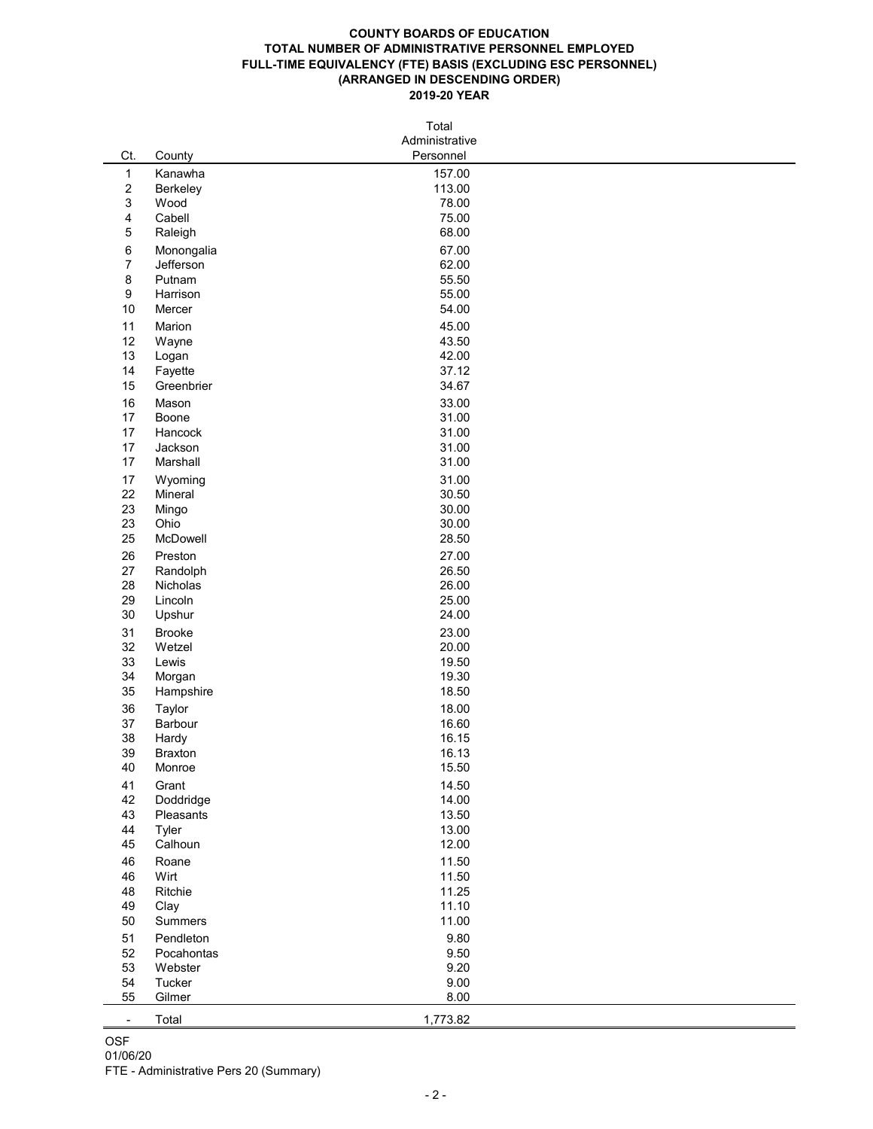## **COUNTY BOARDS OF EDUCATION TOTAL NUMBER OF ADMINISTRATIVE PERSONNEL EMPLOYED FULL-TIME EQUIVALENCY (FTE) BASIS (EXCLUDING ESC PERSONNEL) (ARRANGED IN DESCENDING ORDER) 2019-20 YEAR**

| Total          |                 |                |  |  |
|----------------|-----------------|----------------|--|--|
|                |                 | Administrative |  |  |
| Ct.            | County          | Personnel      |  |  |
| $\mathbf 1$    | Kanawha         | 157.00         |  |  |
| $\overline{c}$ | <b>Berkeley</b> | 113.00         |  |  |
| 3              | Wood            | 78.00          |  |  |
| 4              | Cabell          | 75.00          |  |  |
| 5              | Raleigh         | 68.00          |  |  |
| 6              | Monongalia      | 67.00          |  |  |
| $\overline{7}$ | Jefferson       | 62.00          |  |  |
| 8              | Putnam          | 55.50          |  |  |
| 9              | Harrison        | 55.00          |  |  |
| 10             | Mercer          | 54.00          |  |  |
| 11             | Marion          | 45.00          |  |  |
| 12             | Wayne           | 43.50          |  |  |
| 13             | Logan           | 42.00          |  |  |
| 14             | Fayette         | 37.12          |  |  |
| 15             | Greenbrier      | 34.67          |  |  |
| 16             | Mason           | 33.00          |  |  |
| 17             | <b>Boone</b>    | 31.00          |  |  |
| 17             | Hancock         | 31.00          |  |  |
| 17             | Jackson         | 31.00          |  |  |
| 17             | Marshall        | 31.00          |  |  |
| 17             | Wyoming         | 31.00          |  |  |
| 22             | Mineral         | 30.50          |  |  |
| 23             | Mingo           | 30.00          |  |  |
| 23             | Ohio            | 30.00          |  |  |
| 25             | McDowell        | 28.50          |  |  |
| 26             | Preston         | 27.00          |  |  |
| 27             | Randolph        | 26.50          |  |  |
| 28             | Nicholas        | 26.00          |  |  |
| 29             | Lincoln         | 25.00          |  |  |
| 30             | Upshur          | 24.00          |  |  |
| 31             | <b>Brooke</b>   | 23.00          |  |  |
| 32             | Wetzel          | 20.00          |  |  |
| 33             | Lewis           | 19.50          |  |  |
| 34             | Morgan          | 19.30          |  |  |
| $35\,$         | Hampshire       | 18.50          |  |  |
| 36             | <b>Taylor</b>   | 18.00          |  |  |
| 37             | Barbour         | 16.60          |  |  |
| $38\,$         | Hardy           | 16.15          |  |  |
| 39             | <b>Braxton</b>  | 16.13          |  |  |
| 40             | Monroe          | 15.50          |  |  |
| 41             | Grant           | 14.50          |  |  |
| 42             | Doddridge       | 14.00          |  |  |
| 43             | Pleasants       | 13.50          |  |  |
| 44             | Tyler           | 13.00          |  |  |
| 45             | Calhoun         | 12.00          |  |  |
| 46             | Roane           | 11.50          |  |  |
| 46             | Wirt            | 11.50          |  |  |
| 48             | Ritchie         | 11.25          |  |  |

| 49                                                               | Clay           | 11.10    |  |  |
|------------------------------------------------------------------|----------------|----------|--|--|
| 50                                                               | <b>Summers</b> | 11.00    |  |  |
| 51                                                               | Pendleton      | 9.80     |  |  |
| 52                                                               | Pocahontas     | 9.50     |  |  |
| 53                                                               | Webster        | 9.20     |  |  |
| 54                                                               | Tucker         | 9.00     |  |  |
| 55                                                               | Gilmer         | 8.00     |  |  |
|                                                                  | Total          | 1,773.82 |  |  |
| <b>OSF</b><br>01/06/20<br>FTE - Administrative Pers 20 (Summary) |                |          |  |  |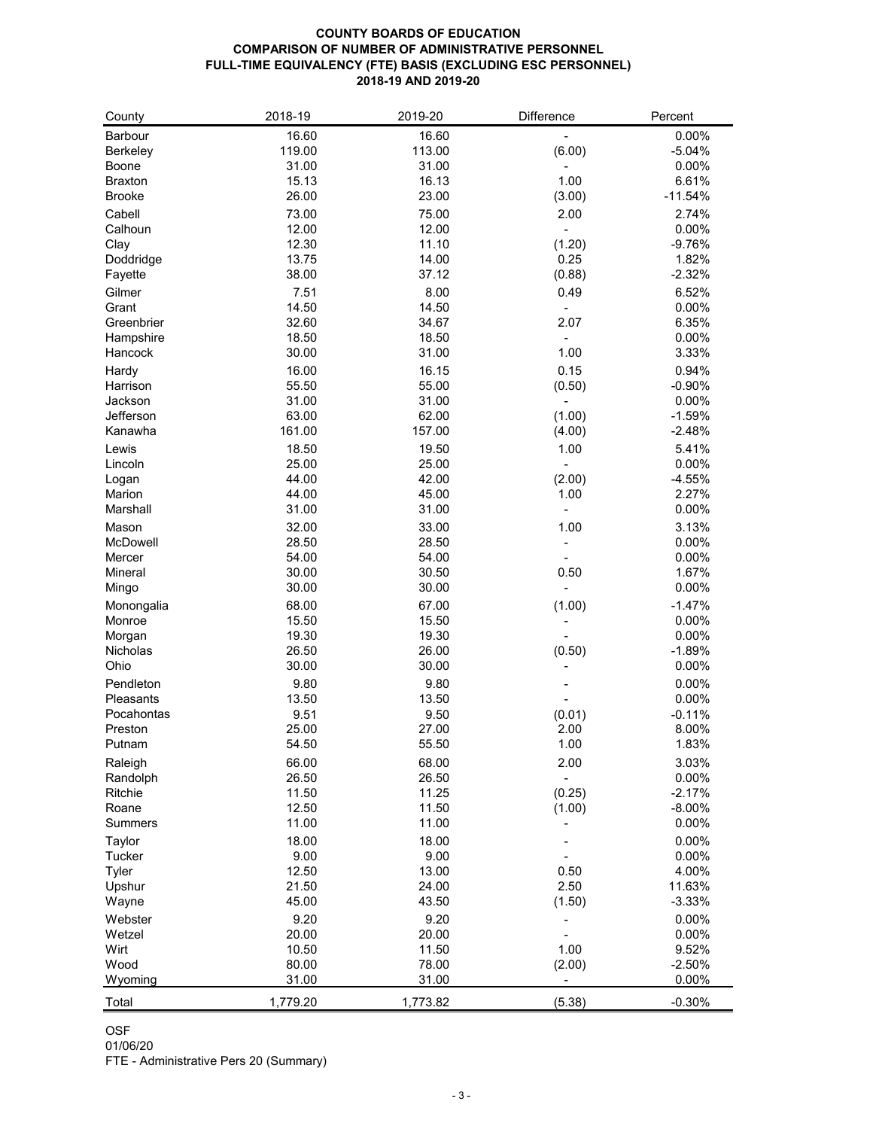## **COUNTY BOARDS OF EDUCATION COMPARISON OF NUMBER OF ADMINISTRATIVE PERSONNEL FULL-TIME EQUIVALENCY (FTE) BASIS (EXCLUDING ESC PERSONNEL) 2018-19 AND 2019-20**

| County            | 2018-19  | 2019-20  | <b>Difference</b> | Percent   |
|-------------------|----------|----------|-------------------|-----------|
| <b>Barbour</b>    | 16.60    | 16.60    |                   | 0.00%     |
| <b>Berkeley</b>   | 119.00   | 113.00   | (6.00)            | $-5.04%$  |
| <b>Boone</b>      | 31.00    | 31.00    |                   | 0.00%     |
| <b>Braxton</b>    | 15.13    | 16.13    | 1.00              | 6.61%     |
| <b>Brooke</b>     | 26.00    | 23.00    | (3.00)            | $-11.54%$ |
| Cabell            | 73.00    | 75.00    | 2.00              | 2.74%     |
| Calhoun           | 12.00    | 12.00    |                   | 0.00%     |
| Clay              | 12.30    | 11.10    | (1.20)            | $-9.76%$  |
| Doddridge         | 13.75    | 14.00    | 0.25              | 1.82%     |
| Fayette           | 38.00    | 37.12    | (0.88)            | $-2.32%$  |
| Gilmer            | 7.51     | 8.00     | 0.49              | 6.52%     |
| Grant             | 14.50    | 14.50    |                   | 0.00%     |
| Greenbrier        | 32.60    | 34.67    | 2.07              | 6.35%     |
| Hampshire         | 18.50    | 18.50    |                   | 0.00%     |
| Hancock           | 30.00    | 31.00    | 1.00              | 3.33%     |
|                   | 16.00    | 16.15    | 0.15              | 0.94%     |
| Hardy<br>Harrison | 55.50    | 55.00    |                   | $-0.90%$  |
| Jackson           | 31.00    | 31.00    | (0.50)            | 0.00%     |
| Jefferson         | 63.00    | 62.00    | (1.00)            | $-1.59%$  |
| Kanawha           | 161.00   | 157.00   |                   | $-2.48%$  |
|                   |          |          | (4.00)            |           |
| Lewis             | 18.50    | 19.50    | 1.00              | 5.41%     |
| Lincoln           | 25.00    | 25.00    |                   | 0.00%     |
| Logan             | 44.00    | 42.00    | (2.00)            | $-4.55%$  |
| Marion            | 44.00    | 45.00    | 1.00              | 2.27%     |
| Marshall          | 31.00    | 31.00    |                   | 0.00%     |
| Mason             | 32.00    | 33.00    | 1.00              | 3.13%     |
| McDowell          | 28.50    | 28.50    |                   | 0.00%     |
| Mercer            | 54.00    | 54.00    |                   | 0.00%     |
| <b>Mineral</b>    | 30.00    | 30.50    | 0.50              | 1.67%     |
| Mingo             | 30.00    | 30.00    |                   | 0.00%     |
| Monongalia        | 68.00    | 67.00    | (1.00)            | $-1.47%$  |
| Monroe            | 15.50    | 15.50    |                   | 0.00%     |
| Morgan            | 19.30    | 19.30    |                   | 0.00%     |
| Nicholas          | 26.50    | 26.00    | (0.50)            | $-1.89%$  |
| Ohio              | 30.00    | 30.00    |                   | 0.00%     |
| Pendleton         | 9.80     | 9.80     |                   | 0.00%     |
| <b>Pleasants</b>  | 13.50    | 13.50    |                   | 0.00%     |
| Pocahontas        | 9.51     | 9.50     | (0.01)            | $-0.11%$  |
| Preston           | 25.00    | 27.00    | 2.00              | 8.00%     |
| Putnam            | 54.50    | 55.50    | 1.00              | 1.83%     |
| Raleigh           | 66.00    | 68.00    | 2.00              | 3.03%     |
| Randolph          | 26.50    | 26.50    |                   | 0.00%     |
| <b>Ritchie</b>    | 11.50    | 11.25    | (0.25)            | $-2.17%$  |
| Roane             | 12.50    | 11.50    | (1.00)            | $-8.00\%$ |
| <b>Summers</b>    | 11.00    | 11.00    |                   | 0.00%     |
| Taylor            | 18.00    | 18.00    |                   | 0.00%     |
| <b>Tucker</b>     | 9.00     | 9.00     |                   | 0.00%     |
| <b>Tyler</b>      | 12.50    | 13.00    | 0.50              | 4.00%     |
| Upshur            | 21.50    | 24.00    | 2.50              | 11.63%    |
| Wayne             | 45.00    | 43.50    | (1.50)            | $-3.33%$  |
| Webster           | 9.20     | 9.20     |                   | 0.00%     |
| Wetzel            | 20.00    | 20.00    |                   | 0.00%     |
| Wirt              | 10.50    | 11.50    | 1.00              | 9.52%     |
| Wood              | 80.00    | 78.00    | (2.00)            | $-2.50%$  |
| Wyoming           | 31.00    | 31.00    |                   | 0.00%     |
|                   |          |          |                   |           |
| Total             | 1,779.20 | 1,773.82 | (5.38)            | $-0.30%$  |

OSF

01/06/20

FTE - Administrative Pers 20 (Summary)